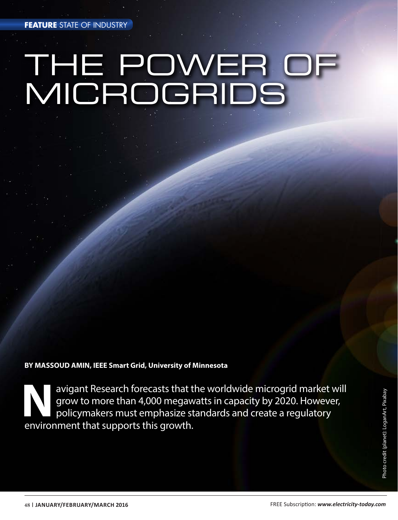# THE POWER OF MICROGRIDS

## **BY MASSOUD AMIN, IEEE Smart Grid, University of Minnesota**

avigant Research forecasts that the worldwide microgrid market will<br>grow to more than 4,000 megawatts in capacity by 2020. However,<br>policymakers must emphasize standards and create a regulatory<br>onlinear that supports this grow to more than 4,000 megawatts in capacity by 2020. However, policymakers must emphasize standards and create a regulatory environment that supports this growth.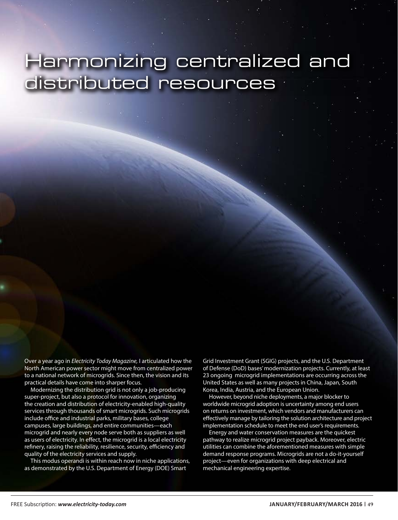# Harmonizing centralized and distributed resources

Over a year ago in *Electricity Today Magazine,* I articulated how the North American power sector might move from centralized power to a national network of microgrids. Since then, the vision and its practical details have come into sharper focus.

Modernizing the distribution grid is not only a job-producing super-project, but also a protocol for innovation, organizing the creation and distribution of electricity-enabled high-quality services through thousands of smart microgrids. Such microgrids include office and industrial parks, military bases, college campuses, large buildings, and entire communities—each microgrid and nearly every node serve both as suppliers as well as users of electricity. In effect, the microgrid is a local electricity refinery, raising the reliability, resilience, security, efficiency and quality of the electricity services and supply.

This modus operandi is within reach now in niche applications, as demonstrated by the U.S. Department of Energy (DOE) Smart

Grid Investment Grant (SGIG) projects, and the U.S. Department of Defense (DoD) bases' modernization projects. Currently, at least 23 ongoing microgrid implementations are occurring across the United States as well as many projects in China, Japan, South Korea, India, Austria, and the European Union.

However, beyond niche deployments, a major blocker to worldwide microgrid adoption is uncertainty among end users on returns on investment, which vendors and manufacturers can effectively manage by tailoring the solution architecture and project implementation schedule to meet the end user's requirements.

Energy and water conservation measures are the quickest pathway to realize microgrid project payback. Moreover, electric utilities can combine the aforementioned measures with simple demand response programs. Microgrids are not a do-it-yourself project—even for organizations with deep electrical and mechanical engineering expertise.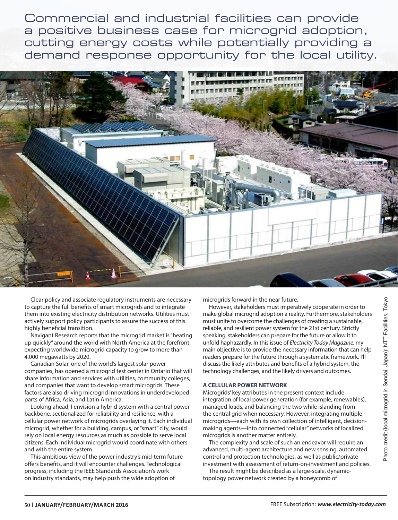Commercial and industrial facilities can provide a positive business case for microgrid adoption, cutting energy costs while potentially providing a demand response opportunity for the local utility.



Clear policy and associate regulatory instruments are necessary to capture the full benefits of smart microgrids and to integrate them into existing electricity distribution networks. Utilities must actively support policy participants to assure the success of this highly beneficial transition.

Navigant Research reports that the microgrid market is "heating up quickly" around the world with North America at the forefront, expecting worldwide microgrid capacity to grow to more than 4,000 megawatts by 2020.

Canadian Solar, one of the world's largest solar power companies, has opened a microgrid test center in Ontario that will share information and services with utilities, community colleges, and companies that want to develop smart microgrids. These factors are also driving microgrid innovations in underdeveloped parts of Africa, Asia, and Latin America.

Looking ahead, I envision a hybrid system with a central power backbone, sectionalized for reliability and resilience, with a cellular power network of microgrids overlaying it. Each individual microgrid, whether for a building, campus, or "smart" city, would rely on local energy resources as much as possible to serve local citizens. Each individual microgrid would coordinate with others and with the entire system.

This ambitious view of the power industry's mid-term future offers benefits, and it will encounter challenges. Technological progress, including the IEEE Standards Association's work on industry standards, may help push the wide adoption of

microgrids forward in the near future.

However, stakeholders must imperatively cooperate in order to make global microgrid adoption a reality. Furthermore, stakeholders must unite to overcome the challenges of creating a sustainable, reliable, and resilient power system for the 21st century. Strictly speaking, stakeholders can prepare for the future or allow it to unfold haphazardly. In this issue of *Electricity Today Magazine*, my main objective is to provide the necessary information that can help readers prepare for the future through a systematic framework. I'll discuss the likely attributes and benefits of a hybrid system, the technology challenges, and the likely drivers and outcomes.

#### **A CELLULAR POWER NETWORK**

Microgrids' key attributes in the present context include integration of local power generation (for example, renewables), managed loads, and balancing the two while islanding from the central grid when necessary. However, integrating multiple microgrids—each with its own collection of intelligent, decisionmaking agents—into connected "cellular" networks of localized microgrids is another matter entirely.

The complexity and scale of such an endeavor will require an advanced, multi-agent architecture and new sensing, automated control and protection technologies, as well as public/private investment with assessment of return-on-investment and policies.

The result might be described as a large-scale, dynamictopology power network created by a honeycomb of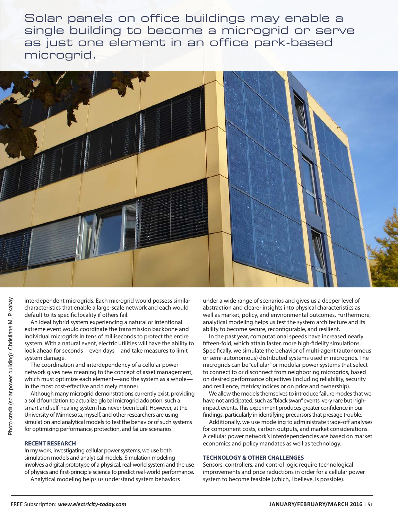Solar panels on office buildings may enable a single building to become a microgrid or serve as just one element in an office park-based microgrid.



interdependent microgrids. Each microgrid would possess similar characteristics that enable a large-scale network and each would default to its specific locality if others fail.

An ideal hybrid system experiencing a natural or intentional extreme event would coordinate the transmission backbone and individual microgrids in tens of milliseconds to protect the entire system. With a natural event, electric utilities will have the ability to look ahead for seconds—even days—and take measures to limit system damage.

The coordination and interdependency of a cellular power network gives new meaning to the concept of asset management, which must optimize each element—and the system as a whole in the most cost-effective and timely manner.

Although many microgrid demonstrations currently exist, providing a solid foundation to actualize global microgrid adoption, such a smart and self-healing system has never been built. However, at the University of Minnesota, myself, and other researchers are using simulation and analytical models to test the behavior of such systems for optimizing performance, protection, and failure scenarios.

#### **RECENT RESEARCH**

In my work, investigating cellular power systems, we use both simulation models and analytical models. Simulation modeling involves a digital prototype of a physical, real-world system and the use of physics and first-principle science to predict real-world performance. Analytical modeling helps us understand system behaviors

under a wide range of scenarios and gives us a deeper level of abstraction and clearer insights into physical characteristics as well as market, policy, and environmental outcomes. Furthermore, analytical modeling helps us test the system architecture and its ability to become secure, reconfigurable, and resilient.

Frequendent microgrids Each microgrids Each microgrids Fractain (would) possess similar under a wide angere level of the samplet in the possible of the stream of several control and the most credit model of the samplet (so In the past year, computational speeds have increased nearly fifteen-fold, which attain faster, more high-fidelity simulations. Specifically, we simulate the behavior of multi-agent (autonomous or semi-autonomous) distributed systems used in microgrids. The microgrids can be "cellular" or modular power systems that select to connect to or disconnect from neighboring microgrids, based on desired performance objectives (including reliability, security and resilience, metrics/indices or on price and ownership).

We allow the models themselves to introduce failure modes that we have not anticipated, such as "black swan" events, very rare but highimpact events. This experiment produces greater confidence in our findings, particularly in identifying precursors that presage trouble.

Additionally, we use modeling to administrate trade-off analyses for component costs, carbon outputs, and market considerations. A cellular power network's interdependencies are based on market economics and policy mandates as well as technology.

#### **TECHNOLOGY & OTHER CHALLENGES**

Sensors, controllers, and control logic require technological improvements and price reductions in order for a cellular power system to become feasible (which, I believe, is possible).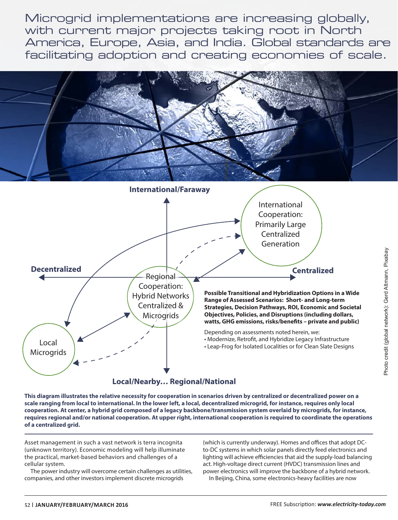Microgrid implementations are increasing globally, with current major projects taking root in North America, Europe, Asia, and India. Global standards are facilitating adoption and creating economies of scale.





**This diagram illustrates the relative necessity for cooperation in scenarios driven by centralized or decentralized power on a scale ranging from local to international. In the lower left, a local, decentralized microgrid, for instance, requires only local cooperation. At center, a hybrid grid composed of a legacy backbone/transmission system overlaid by microgrids, for instance, requires regional and/or national cooperation. At upper right, international cooperation is required to coordinate the operations of a centralized grid.**

Asset management in such a vast network is terra incognita (unknown territory). Economic modeling will help illuminate the practical, market-based behaviors and challenges of a cellular system.

The power industry will overcome certain challenges as utilities, companies, and other investors implement discrete microgrids

(which is currently underway). Homes and offices that adopt DCto-DC systems in which solar panels directly feed electronics and lighting will achieve efficiencies that aid the supply-load balancing act. High-voltage direct current (HVDC) transmission lines and power electronics will improve the backbone of a hybrid network. In Beijing, China, some electronics-heavy facilities are now